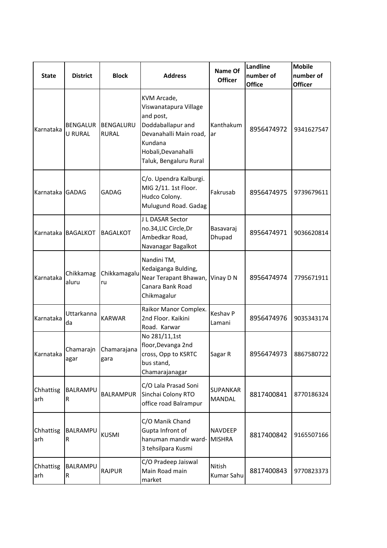| <b>State</b>     | <b>District</b>                   | <b>Block</b>              | <b>Address</b>                                                                                                                                               | <b>Name Of</b><br><b>Officer</b> | Landline<br>number of<br><b>Office</b> | <b>Mobile</b><br>number of<br><b>Officer</b> |
|------------------|-----------------------------------|---------------------------|--------------------------------------------------------------------------------------------------------------------------------------------------------------|----------------------------------|----------------------------------------|----------------------------------------------|
| Karnataka        | <b>BENGALUR</b><br><b>U RURAL</b> | BENGALURU<br><b>RURAL</b> | KVM Arcade,<br>Viswanatapura Village<br>and post,<br>Doddaballapur and<br>Devanahalli Main road,<br>Kundana<br>Hobali, Devanahalli<br>Taluk, Bengaluru Rural | Kanthakum<br>ar                  | 8956474972                             | 9341627547                                   |
| Karnataka GADAG  |                                   | <b>GADAG</b>              | C/o. Upendra Kalburgi.<br>MIG 2/11. 1st Floor.<br>Hudco Colony.<br>Mulugund Road. Gadag                                                                      | Fakrusab                         | 8956474975                             | 9739679611                                   |
|                  | Karnataka BAGALKOT                | <b>BAGALKOT</b>           | J L DASAR Sector<br>no.34,LIC Circle,Dr<br>Ambedkar Road,<br>Navanagar Bagalkot                                                                              | Basavaraj<br>Dhupad              | 8956474971                             | 9036620814                                   |
| Karnataka        | Chikkamag<br>aluru                | Chikkamagalu<br>ru        | Nandini TM,<br>Kedaiganga Bulding,<br>Near Terapant Bhawan,<br>Canara Bank Road<br>Chikmagalur                                                               | Vinay D N                        | 8956474974                             | 7795671911                                   |
| Karnataka        | Uttarkanna<br>da                  | <b>KARWAR</b>             | Raikor Manor Complex.<br>2nd Floor. Kaikini<br>Road. Karwar                                                                                                  | Keshav P<br>Lamani               | 8956474976                             | 9035343174                                   |
| Karnataka        | Chamarajn<br>agar                 | Chamarajana<br>gara       | No 281/11,1st<br>floor, Devanga 2nd<br>cross, Opp to KSRTC<br>bus stand,<br>Chamarajanagar                                                                   | Sagar R                          | 8956474973                             | 8867580722                                   |
| Chhattisg<br>arh | BALRAMPU<br>R                     | <b>BALRAMPUR</b>          | C/O Lala Prasad Soni<br>Sinchai Colony RTO<br>office road Balrampur                                                                                          | <b>SUPANKAR</b><br><b>MANDAL</b> | 8817400841                             | 8770186324                                   |
| Chhattisg<br>arh | BALRAMPU<br>R                     | <b>KUSMI</b>              | C/O Manik Chand<br>Gupta Infront of<br>hanuman mandir ward-<br>3 tehsilpara Kusmi                                                                            | <b>NAVDEEP</b><br><b>MISHRA</b>  | 8817400842                             | 9165507166                                   |
| Chhattisg<br>arh | BALRAMPU<br>R                     | <b>RAJPUR</b>             | C/O Pradeep Jaiswal<br>Main Road main<br>market                                                                                                              | Nitish<br>Kumar Sahu             | 8817400843                             | 9770823373                                   |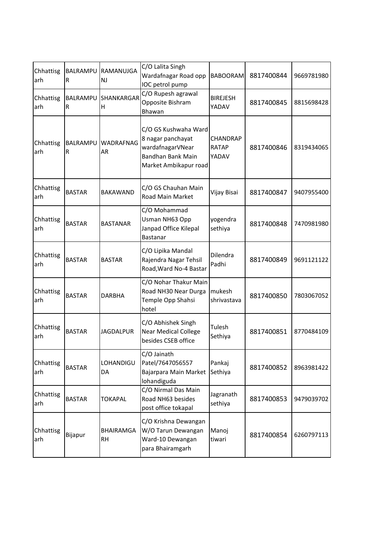| Chhattisg<br>arh | R             | BALRAMPU RAMANUJGA<br><b>NJ</b> | C/O Lalita Singh<br>Wardafnagar Road opp<br>IOC petrol pump                                                 | <b>BABOORAM</b>                   | 8817400844 | 9669781980 |
|------------------|---------------|---------------------------------|-------------------------------------------------------------------------------------------------------------|-----------------------------------|------------|------------|
| Chhattisg<br>arh | BALRAMPU<br>R | SHANKARGAR<br>$\overline{H}$    | C/O Rupesh agrawal<br>Opposite Bishram<br>Bhawan                                                            | <b>BIREJESH</b><br>YADAV          | 8817400845 | 8815698428 |
| Chhattisg<br>arh | R             | BALRAMPU WADRAFNAG<br>AR        | C/O GS Kushwaha Ward<br>8 nagar panchayat<br>wardafnagarVNear<br>Bandhan Bank Main<br>Market Ambikapur road | <b>CHANDRAP</b><br>RATAP<br>YADAV | 8817400846 | 8319434065 |
| Chhattisg<br>arh | <b>BASTAR</b> | <b>BAKAWAND</b>                 | C/O GS Chauhan Main<br>Road Main Market                                                                     | Vijay Bisai                       | 8817400847 | 9407955400 |
| Chhattisg<br>arh | <b>BASTAR</b> | <b>BASTANAR</b>                 | C/O Mohammad<br>Usman NH63 Opp<br>Janpad Office Kilepal<br>Bastanar                                         | yogendra<br>sethiya               | 8817400848 | 7470981980 |
| Chhattisg<br>arh | <b>BASTAR</b> | <b>BASTAR</b>                   | C/O Lipika Mandal<br>Rajendra Nagar Tehsil<br>Road, Ward No-4 Bastar                                        | Dilendra<br>Padhi                 | 8817400849 | 9691121122 |
| Chhattisg<br>arh | <b>BASTAR</b> | <b>DARBHA</b>                   | C/O Nohar Thakur Main<br>Road NH30 Near Durga<br>Temple Opp Shahsi<br>hotel                                 | mukesh<br>shrivastava             | 8817400850 | 7803067052 |
| Chhattisg<br>arh | <b>BASTAR</b> | <b>JAGDALPUR</b>                | C/O Abhishek Singh<br><b>Near Medical College</b><br>besides CSEB office                                    | Tulesh<br>Sethiya                 | 8817400851 | 8770484109 |
| Chhattisg<br>arh | <b>BASTAR</b> | LOHANDIGU<br>DA                 | C/O Jainath<br>Patel/7647056557<br>Bajarpara Main Market<br>lohandiguda                                     | Pankaj<br>Sethiya                 | 8817400852 | 8963981422 |
| Chhattisg<br>arh | <b>BASTAR</b> | <b>TOKAPAL</b>                  | C/O Nirmal Das Main<br>Road NH63 besides<br>post office tokapal                                             | Jagranath<br>sethiya              | 8817400853 | 9479039702 |
| Chhattisg<br>arh | Bijapur       | BHAIRAMGA<br><b>RH</b>          | C/O Krishna Dewangan<br>W/O Tarun Dewangan<br>Ward-10 Dewangan<br>para Bhairamgarh                          | Manoj<br>tiwari                   | 8817400854 | 6260797113 |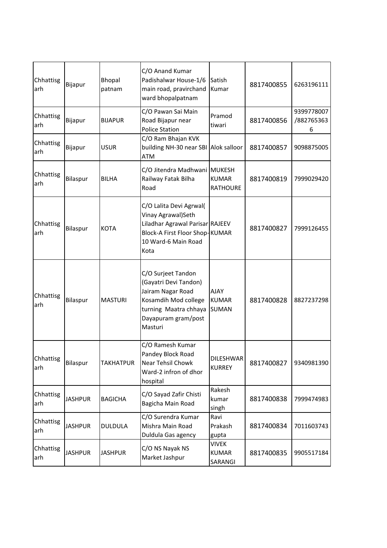| Chhattisg<br>arh | Bijapur        | Bhopal<br>patnam | C/O Anand Kumar<br>Padishalwar House-1/6<br>main road, pravirchand<br>ward bhopalpatnam                                                             | Satish<br>Kumar                      | 8817400855 | 6263196111                    |
|------------------|----------------|------------------|-----------------------------------------------------------------------------------------------------------------------------------------------------|--------------------------------------|------------|-------------------------------|
| Chhattisg<br>arh | Bijapur        | <b>BIJAPUR</b>   | C/O Pawan Sai Main<br>Road Bijapur near<br><b>Police Station</b>                                                                                    | Pramod<br>tiwari                     | 8817400856 | 9399778007<br>/882765363<br>6 |
| Chhattisg<br>arh | Bijapur        | <b>USUR</b>      | C/O Ram Bhajan KVK<br>building NH-30 near SBI Alok salloor<br><b>ATM</b>                                                                            |                                      | 8817400857 | 9098875005                    |
| Chhattisg<br>arh | Bilaspur       | <b>BILHA</b>     | C/O Jitendra Madhwani MUKESH<br>Railway Fatak Bilha<br>Road                                                                                         | <b>KUMAR</b><br><b>RATHOURE</b>      | 8817400819 | 7999029420                    |
| Chhattisg<br>arh | Bilaspur       | <b>KOTA</b>      | C/O Lalita Devi Agrwal(<br>Vinay Agrawal)Seth<br>Liladhar Agrawal Parisar RAJEEV<br>Block-A First Floor Shop-KUMAR<br>10 Ward-6 Main Road<br>Kota   |                                      | 8817400827 | 7999126455                    |
| Chhattisg<br>arh | Bilaspur       | <b>MASTURI</b>   | C/O Surjeet Tandon<br>(Gayatri Devi Tandon)<br>Jairam Nagar Road<br>Kosamdih Mod college<br>turning Maatra chhaya<br>Dayapuram gram/post<br>Masturi | <b>AJAY</b><br><b>KUMAR</b><br>SUMAN | 8817400828 | 8827237298                    |
| Chhattisg<br>arh | Bilaspur       | <b>TAKHATPUR</b> | C/O Ramesh Kumar<br>Pandey Block Road<br>Near Tehsil Chowk<br>Ward-2 infron of dhor<br>hospital                                                     | <b>DILESHWAR</b><br><b>KURREY</b>    | 8817400827 | 9340981390                    |
| Chhattisg<br>arh | <b>JASHPUR</b> | <b>BAGICHA</b>   | C/O Sayad Zafir Chisti<br>Bagicha Main Road                                                                                                         | Rakesh<br>kumar<br>singh             | 8817400838 | 7999474983                    |
| Chhattisg<br>arh | <b>JASHPUR</b> | <b>DULDULA</b>   | C/O Surendra Kumar<br>Mishra Main Road<br>Duldula Gas agency                                                                                        | Ravi<br>Prakash<br>gupta             | 8817400834 | 7011603743                    |
| Chhattisg<br>arh | <b>JASHPUR</b> | <b>JASHPUR</b>   | C/O NS Nayak NS<br>Market Jashpur                                                                                                                   | VIVEK<br><b>KUMAR</b><br>SARANGI     | 8817400835 | 9905517184                    |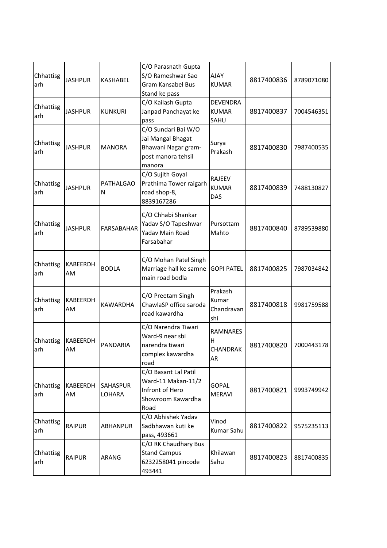| Chhattisg<br>arh | <b>JASHPUR</b> | <b>KASHABEL</b>           | C/O Parasnath Gupta<br>S/O Rameshwar Sao<br>Gram Kansabel Bus<br>Stand ke pass                  | <b>AJAY</b><br><b>KUMAR</b>             | 8817400836 | 8789071080 |
|------------------|----------------|---------------------------|-------------------------------------------------------------------------------------------------|-----------------------------------------|------------|------------|
| Chhattisg<br>arh | <b>JASHPUR</b> | <b>KUNKURI</b>            | C/O Kailash Gupta<br>Janpad Panchayat ke<br>pass                                                | <b>DEVENDRA</b><br><b>KUMAR</b><br>SAHU | 8817400837 | 7004546351 |
| Chhattisg<br>arh | <b>JASHPUR</b> | <b>MANORA</b>             | C/O Sundari Bai W/O<br>Jai Mangal Bhagat<br>Bhawani Nagar gram-<br>post manora tehsil<br>manora | Surya<br>Prakash                        | 8817400830 | 7987400535 |
| Chhattisg<br>arh | <b>JASHPUR</b> | <b>PATHALGAO</b><br>N     | C/O Sujith Goyal<br>Prathima Tower raigarh<br>road shop-8,<br>8839167286                        | <b>RAJEEV</b><br><b>KUMAR</b><br>DAS    | 8817400839 | 7488130827 |
| Chhattisg<br>arh | <b>JASHPUR</b> | <b>FARSABAHAR</b>         | C/O Chhabi Shankar<br>Yadav S/O Tapeshwar<br>Yadav Main Road<br>Farsabahar                      | Pursottam<br>Mahto                      | 8817400840 | 8789539880 |
| Chhattisg<br>arh | KABEERDH<br>AM | <b>BODLA</b>              | C/O Mohan Patel Singh<br>Marriage hall ke samne<br>main road bodla                              | <b>GOPI PATEL</b>                       | 8817400825 | 7987034842 |
| Chhattisg<br>arh | KABEERDH<br>AM | <b>KAWARDHA</b>           | C/O Preetam Singh<br>ChawlaSP office saroda<br>road kawardha                                    | Prakash<br>Kumar<br>Chandravan<br>shi   | 8817400818 | 9981759588 |
| Chhattisg<br>arh | KABEERDH<br>AM | PANDARIA                  | C/O Narendra Tiwari<br>Ward-9 near sbi<br>narendra tiwari<br>complex kawardha<br>road           | <b>RAMNARES</b><br>Η<br>CHANDRAK<br>AR  | 8817400820 | 7000443178 |
| Chhattisg<br>arh | KABEERDH<br>AM | <b>SAHASPUR</b><br>LOHARA | C/O Basant Lal Patil<br>Ward-11 Makan-11/2<br>Infront of Hero<br>Showroom Kawardha<br>Road      | <b>GOPAL</b><br><b>MERAVI</b>           | 8817400821 | 9993749942 |
| Chhattisg<br>arh | <b>RAIPUR</b>  | <b>ABHANPUR</b>           | C/O Abhishek Yadav<br>Sadbhawan kuti ke<br>pass, 493661                                         | Vinod<br>Kumar Sahu                     | 8817400822 | 9575235113 |
| Chhattisg<br>arh | <b>RAIPUR</b>  | ARANG                     | C/O RK Chaudhary Bus<br><b>Stand Campus</b><br>6232258041 pincode<br>493441                     | Khilawan<br>Sahu                        | 8817400823 | 8817400835 |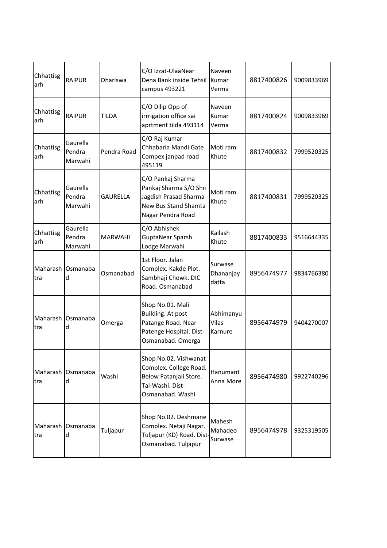| Chhattisg<br>arh | <b>RAIPUR</b>                 | Dhariswa        | C/O Izzat-UlaaNear<br>Dena Bank inside Tehsil<br>campus 493221                                                    | Naveen<br>Kumar<br>Verma      | 8817400826 | 9009833969 |
|------------------|-------------------------------|-----------------|-------------------------------------------------------------------------------------------------------------------|-------------------------------|------------|------------|
| Chhattisg<br>arh | <b>RAIPUR</b>                 | <b>TILDA</b>    | C/O Dilip Opp of<br>irrrigation office sai<br>aprtment tilda 493114                                               | Naveen<br>Kumar<br>Verma      | 8817400824 | 9009833969 |
| Chhattisg<br>arh | Gaurella<br>Pendra<br>Marwahi | Pendra Road     | C/O Raj Kumar<br>Chhabaria Mandi Gate<br>Compex janpad road<br>495119                                             | Moti ram<br>Khute             | 8817400832 | 7999520325 |
| Chhattisg<br>arh | Gaurella<br>Pendra<br>Marwahi | <b>GAURELLA</b> | C/O Pankaj Sharma<br>Pankaj Sharma S/O Shri<br>Jagdish Prasad Sharma<br>New Bus Stand Shamta<br>Nagar Pendra Road | Moti ram<br>Khute             | 8817400831 | 7999520325 |
| Chhattisg<br>arh | Gaurella<br>Pendra<br>Marwahi | <b>MARWAHI</b>  | C/O Abhishek<br>GuptaNear Sparsh<br>Lodge Marwahi                                                                 | Kailash<br>Khute              | 8817400833 | 9516644335 |
| Maharash<br>tra  | Osmanaba<br>d                 | Osmanabad       | 1st Floor. Jalan<br>Complex. Kakde Plot.<br>Sambhaji Chowk. DIC<br>Road. Osmanabad                                | Surwase<br>Dhananjay<br>datta | 8956474977 | 9834766380 |
| tra              | Maharash Osmanaba<br>d        | Omerga          | Shop No.01. Mali<br>Building. At post<br>Patange Road. Near<br>Patenge Hospital. Dist-<br>Osmanabad. Omerga       | Abhimanyu<br>Vilas<br>Karnure | 8956474979 | 9404270007 |
| tra              | Maharash Osmanaba<br>d        | Washi           | Shop No.02. Vishwanat<br>Complex. College Road.<br>Below Patanjali Store.<br>Tal-Washi. Dist-<br>Osmanabad. Washi | Hanumant<br>Anna More         | 8956474980 | 9922740296 |
| Maharash<br>tra  | Osmanaba<br>d                 | Tuljapur        | Shop No.02. Deshmane<br>Complex. Netaji Nagar.<br>Tuljapur (KD) Road. Dist-<br>Osmanabad. Tuljapur                | Mahesh<br>Mahadeo<br>Surwase  | 8956474978 | 9325319505 |